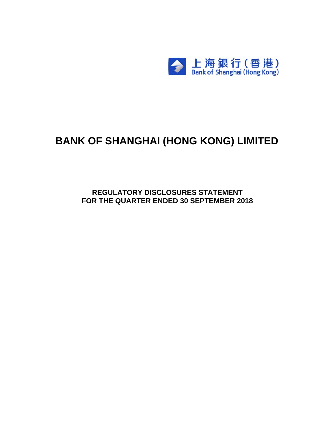

# **BANK OF SHANGHAI (HONG KONG) LIMITED**

**REGULATORY DISCLOSURES STATEMENT FOR THE QUARTER ENDED 30 SEPTEMBER 2018**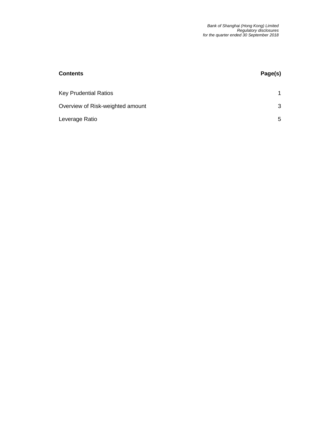| <b>Contents</b>                  | Page(s) |
|----------------------------------|---------|
| <b>Key Prudential Ratios</b>     |         |
| Overview of Risk-weighted amount | 3       |
| Leverage Ratio                   | 5.      |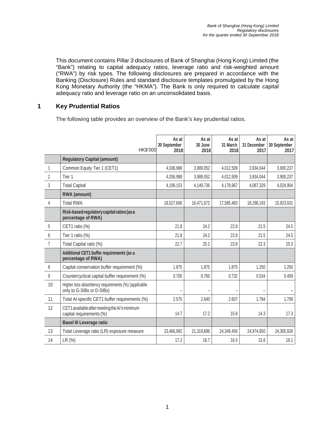This document contains Pillar 3 disclosures of Bank of Shanghai (Hong Kong) Limited (the "Bank") relating to capital adequacy ratios, leverage ratio and risk-weighted amount ("RWA") by risk types. The following disclosures are prepared in accordance with the Banking (Disclosure) Rules and standard disclosure templates promulgated by the Hong Kong Monetary Authority (the "HKMA"). The Bank is only required to calculate capital adequacy ratio and leverage ratio on an unconsolidated basis.

#### **1 Key Prudential Ratios**

The following table provides an overview of the Bank's key prudential ratios.

|                | HK\$'000                                                                         | As at<br>30 September<br>2018 | As at<br>30 June<br>2018 | As at<br>31 March<br>2018 | As at<br>31 December<br>2017 | As at<br>30 September<br>2017 |
|----------------|----------------------------------------------------------------------------------|-------------------------------|--------------------------|---------------------------|------------------------------|-------------------------------|
|                | <b>Regulatory Capital (amount)</b>                                               |                               |                          |                           |                              |                               |
| $\mathbf{1}$   | Common Equity Tier 1 (CET1)                                                      | 4,036,988                     | 3,989,052                | 4,012,509                 | 3,934,044                    | 3,900,237                     |
| $\overline{2}$ | Tier 1                                                                           | 4,036,988                     | 3,989,052                | 4,012,509                 | 3,934,044                    | 3,900,237                     |
| 3              | <b>Total Capital</b>                                                             | 4,199,153                     | 4,149,736                | 4,178,967                 | 4,087,329                    | 4,024,904                     |
|                | <b>RWA</b> (amount)                                                              |                               |                          |                           |                              |                               |
| 4              | <b>Total RWA</b>                                                                 | 18,527,606                    | 16,471,672               | 17,585,483                | 18,298,193                   | 15,923,931                    |
|                | Risk-based regulatory capital ratios (as a<br>percentage of RWA)                 |                               |                          |                           |                              |                               |
| 5              | CET1 ratio (%)                                                                   | 21.8                          | 24.2                     | 22.8                      | 21.5                         | 24.5                          |
| 6              | Tier 1 ratio (%)                                                                 | 21.8                          | 24.2                     | 22.8                      | 21.5                         | 24.5                          |
| $\overline{7}$ | Total Capital ratio (%)                                                          | 22.7                          | 25.2                     | 23.8                      | 22.3                         | 25.3                          |
|                | Additional CET1 buffer requirements (as a<br>percentage of RWA)                  |                               |                          |                           |                              |                               |
| 8              | Capital conservation buffer requirement (%)                                      | 1.875                         | 1.875                    | 1.875                     | 1.250                        | 1.250                         |
| 9              | Countercyclical capital buffer requirement (%)                                   | 0.700                         | 0.765                    | 0.732                     | 0.534                        | 0.459                         |
| 10             | Higher loss absorbency requirements (%) (applicable<br>only to G-SIBs or D-SIBs) |                               |                          |                           |                              |                               |
| 11             | Total Al-specific CET1 buffer requirements (%)                                   | 2.575                         | 2.640                    | 2.607                     | 1.784                        | 1.709                         |
| 12             | CET1 available after meeting the AI's minimum<br>capital requirements (%)        | 14.7                          | 17.2                     | 15.8                      | 14.3                         | 17.3                          |
|                | <b>Basel III Leverage ratio</b>                                                  |                               |                          |                           |                              |                               |
| 13             | Total Leverage ratio (LR) exposure measure                                       | 23,466,992                    | 21,319,696               | 24,349,456                | 24,974,850                   | 24,305,928                    |
| 14             | LR (%)                                                                           | 17.2                          | 18.7                     | 16.5                      | 15.8                         | 16.1                          |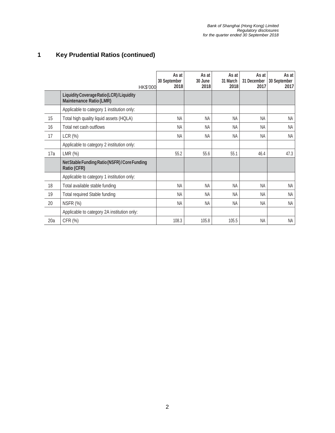## **1 Key Prudential Ratios (continued)**

|     | HK\$'000                                                                   | As at<br>30 September<br>2018 | As at<br>30 June<br>2018 | As at<br>31 March<br>2018 | As at<br>31 December<br>2017 | As at<br>30 September<br>2017 |
|-----|----------------------------------------------------------------------------|-------------------------------|--------------------------|---------------------------|------------------------------|-------------------------------|
|     | Liquidity Coverage Ratio (LCR)/Liquidity<br><b>Maintenance Ratio (LMR)</b> |                               |                          |                           |                              |                               |
|     | Applicable to category 1 institution only:                                 |                               |                          |                           |                              |                               |
| 15  | Total high quality liquid assets (HQLA)                                    | <b>NA</b>                     | <b>NA</b>                | <b>NA</b>                 | NA                           | NA                            |
| 16  | Total net cash outflows                                                    | <b>NA</b>                     | ΝA                       | ΝA                        | <b>NA</b>                    | <b>NA</b>                     |
| 17  | LCR(%)                                                                     | <b>NA</b>                     | ΝA                       | NA                        | <b>NA</b>                    | <b>NA</b>                     |
|     | Applicable to category 2 institution only:                                 |                               |                          |                           |                              |                               |
| 17a | LMR $(%)$                                                                  | 55.2                          | 55.6                     | 55.1                      | 46.4                         | 47.3                          |
|     | Net Stable Funding Ratio (NSFR)/Core Funding<br>Ratio (CFR)                |                               |                          |                           |                              |                               |
|     | Applicable to category 1 institution only:                                 |                               |                          |                           |                              |                               |
| 18  | Total available stable funding                                             | <b>NA</b>                     | <b>NA</b>                | <b>NA</b>                 | <b>NA</b>                    | <b>NA</b>                     |
| 19  | Total required Stable funding                                              | <b>NA</b>                     | <b>NA</b>                | <b>NA</b>                 | <b>NA</b>                    | <b>NA</b>                     |
| 20  | NSFR (%)                                                                   | <b>NA</b>                     | <b>NA</b>                | <b>NA</b>                 | <b>NA</b>                    | <b>NA</b>                     |
|     | Applicable to category 2A institution only:                                |                               |                          |                           |                              |                               |
| 20a | CFR (%)                                                                    | 108.3                         | 105.8                    | 105.5                     | <b>NA</b>                    | NA                            |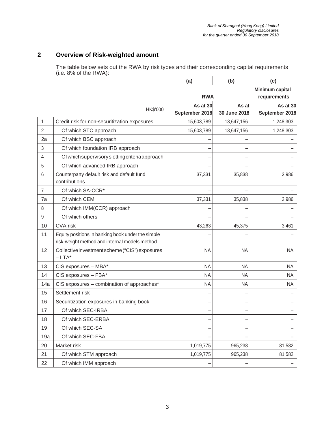#### **2 Overview of Risk-weighted amount**

The table below sets out the RWA by risk types and their corresponding capital requirements (i.e. 8% of the RWA):

|                |                                                                                                    | (a)                        | (b)                   | (c)                             |
|----------------|----------------------------------------------------------------------------------------------------|----------------------------|-----------------------|---------------------------------|
|                |                                                                                                    | <b>RWA</b>                 |                       | Minimum capital<br>requirements |
|                | HK\$'000                                                                                           | As at 30<br>September 2018 | As at<br>30 June 2018 | As at 30<br>September 2018      |
| 1              | Credit risk for non-securitization exposures                                                       | 15,603,789                 | 13,647,156            | 1,248,303                       |
| $\overline{2}$ | Of which STC approach                                                                              | 15,603,789                 | 13,647,156            | 1,248,303                       |
| 2a             | Of which BSC approach                                                                              |                            |                       |                                 |
| 3              | Of which foundation IRB approach                                                                   |                            |                       |                                 |
| 4              | Of which supervisory slotting criteria approach                                                    |                            |                       |                                 |
| 5              | Of which advanced IRB approach                                                                     |                            |                       |                                 |
| 6              | Counterparty default risk and default fund<br>contributions                                        | 37,331                     | 35,838                | 2,986                           |
| $\overline{7}$ | Of which SA-CCR <sup>*</sup>                                                                       |                            |                       |                                 |
| 7a             | Of which CEM                                                                                       | 37,331                     | 35,838                | 2,986                           |
| 8              | Of which IMM(CCR) approach                                                                         |                            |                       |                                 |
| 9              | Of which others                                                                                    |                            |                       |                                 |
| 10             | <b>CVA</b> risk                                                                                    | 43,263                     | 45,375                | 3,461                           |
| 11             | Equity positions in banking book under the simple<br>risk-weight method and internal models method |                            |                       |                                 |
| 12             | Collective investment scheme ("CIS") exposures<br>$-LTA^*$                                         | <b>NA</b>                  | <b>NA</b>             | <b>NA</b>                       |
| 13             | CIS exposures - MBA*                                                                               | <b>NA</b>                  | <b>NA</b>             | <b>NA</b>                       |
| 14             | CIS exposures - FBA*                                                                               | <b>NA</b>                  | <b>NA</b>             | <b>NA</b>                       |
| 14a            | CIS exposures - combination of approaches*                                                         | <b>NA</b>                  | <b>NA</b>             | <b>NA</b>                       |
| 15             | Settlement risk                                                                                    |                            |                       |                                 |
| 16             | Securitization exposures in banking book                                                           |                            |                       |                                 |
| 17             | Of which SEC-IRBA                                                                                  |                            |                       |                                 |
| 18             | Of which SEC-ERBA                                                                                  |                            |                       |                                 |
| 19             | Of which SEC-SA                                                                                    | -                          | -                     |                                 |
| 19a            | Of which SEC-FBA                                                                                   |                            |                       |                                 |
| 20             | Market risk                                                                                        | 1,019,775                  | 965,238               | 81,582                          |
| 21             | Of which STM approach                                                                              | 1,019,775                  | 965,238               | 81,582                          |
| 22             | Of which IMM approach                                                                              |                            |                       |                                 |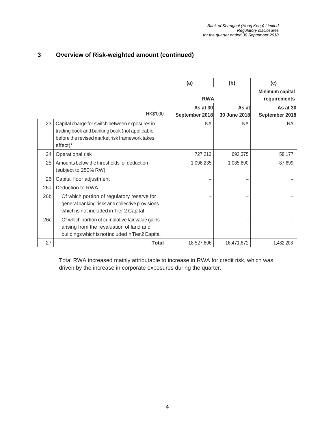#### **3 Overview of Risk-weighted amount (continued)**

|                 |                                                                                                                                                               | (a)            | (b)                             | (c)            |
|-----------------|---------------------------------------------------------------------------------------------------------------------------------------------------------------|----------------|---------------------------------|----------------|
|                 |                                                                                                                                                               | <b>RWA</b>     | Minimum capital<br>requirements |                |
|                 |                                                                                                                                                               | As at 30       | As at                           | As at 30       |
|                 | HK\$'000                                                                                                                                                      | September 2018 | 30 June 2018                    | September 2018 |
| 23              | Capital charge for switch between exposures in<br>trading book and banking book (not applicable<br>before the revised market risk framework takes<br>effect)* | <b>NA</b>      | <b>NA</b>                       | <b>NA</b>      |
| 24              | Operational risk                                                                                                                                              | 727,213        | 692,375                         | 58,177         |
| 25              | Amounts below the thresholds for deduction<br>(subject to 250% RW)                                                                                            | 1,096,235      | 1,085,690                       | 87,699         |
| 26              | Capital floor adjustment                                                                                                                                      |                |                                 |                |
| 26a             | Deduction to RWA                                                                                                                                              |                |                                 |                |
| 26 <sub>b</sub> | Of which portion of regulatory reserve for<br>general banking risks and collective provisions<br>which is not included in Tier 2 Capital                      |                |                                 |                |
| 26c             | Of which portion of cumulative fair value gains<br>arising from the revaluation of land and<br>buildings which is not included in Tier 2 Capital              |                |                                 |                |
| 27              | Total                                                                                                                                                         | 18,527,606     | 16,471,672                      | 1.482.208      |

Total RWA increased mainly attributable to increase in RWA for credit risk, which was driven by the increase in corporate exposures during the quarter.